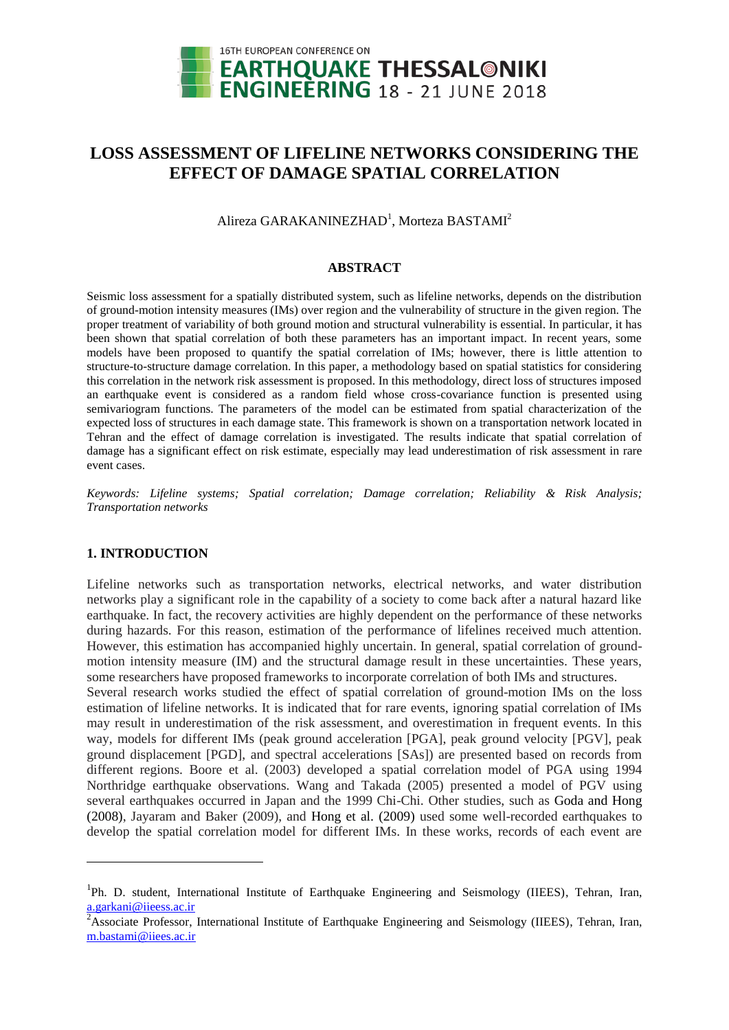

# **LOSS ASSESSMENT OF LIFELINE NETWORKS CONSIDERING THE EFFECT OF DAMAGE SPATIAL CORRELATION**

Alireza GARAKANINEZHAD<sup>1</sup>, Morteza BASTAMI<sup>2</sup>

## **ABSTRACT**

Seismic loss assessment for a spatially distributed system, such as lifeline networks, depends on the distribution of ground-motion intensity measures (IMs) over region and the vulnerability of structure in the given region. The proper treatment of variability of both ground motion and structural vulnerability is essential. In particular, it has been shown that spatial correlation of both these parameters has an important impact. In recent years, some models have been proposed to quantify the spatial correlation of IMs; however, there is little attention to structure-to-structure damage correlation. In this paper, a methodology based on spatial statistics for considering this correlation in the network risk assessment is proposed. In this methodology, direct loss of structures imposed an earthquake event is considered as a random field whose cross-covariance function is presented using semivariogram functions. The parameters of the model can be estimated from spatial characterization of the expected loss of structures in each damage state. This framework is shown on a transportation network located in Tehran and the effect of damage correlation is investigated. The results indicate that spatial correlation of damage has a significant effect on risk estimate, especially may lead underestimation of risk assessment in rare event cases.

*Keywords: Lifeline systems; Spatial correlation; Damage correlation; Reliability & Risk Analysis; Transportation networks*

## **1. INTRODUCTION**

 $\overline{a}$ 

Lifeline networks such as transportation networks, electrical networks, and water distribution networks play a significant role in the capability of a society to come back after a natural hazard like earthquake. In fact, the recovery activities are highly dependent on the performance of these networks during hazards. For this reason, estimation of the performance of lifelines received much attention. However, this estimation has accompanied highly uncertain. In general, spatial correlation of groundmotion intensity measure (IM) and the structural damage result in these uncertainties. These years, some researchers have proposed frameworks to incorporate correlation of both IMs and structures.

Several research works studied the effect of spatial correlation of ground-motion IMs on the loss estimation of lifeline networks. It is indicated that for rare events, ignoring spatial correlation of IMs may result in underestimation of the risk assessment, and overestimation in frequent events. In this way, models for different IMs (peak ground acceleration [PGA], peak ground velocity [PGV], peak ground displacement [PGD], and spectral accelerations [SAs]) are presented based on records from different regions. Boore [et al. \(2003\)](#page-8-0) developed a spatial correlation model of PGA using 1994 Northridge earthquake observations. [Wang and Takada \(2005\)](#page-9-0) presented a model of PGV using several earthquakes occurred in Japan and the 1999 Chi-Chi. Other studies, such as [Goda and Hong](#page-8-1)  [\(2008\)](#page-8-1), [Jayaram and Baker \(2009\)](#page-9-1), and Hong [et al. \(2009\)](#page-9-2) used some well-recorded earthquakes to develop the spatial correlation model for different IMs. In these works, records of each event are

<sup>&</sup>lt;sup>1</sup>Ph. D. student, International Institute of Earthquake Engineering and Seismology (IIEES), Tehran, Iran, a.garkani@iieess.ac.ir

<sup>&</sup>lt;sup>2</sup>Associate Professor, International Institute of Earthquake Engineering and Seismology (IIEES), Tehran, Iran, [m.bastami@iiees.ac.ir](mailto:m.bastami@iiees.ac.ir)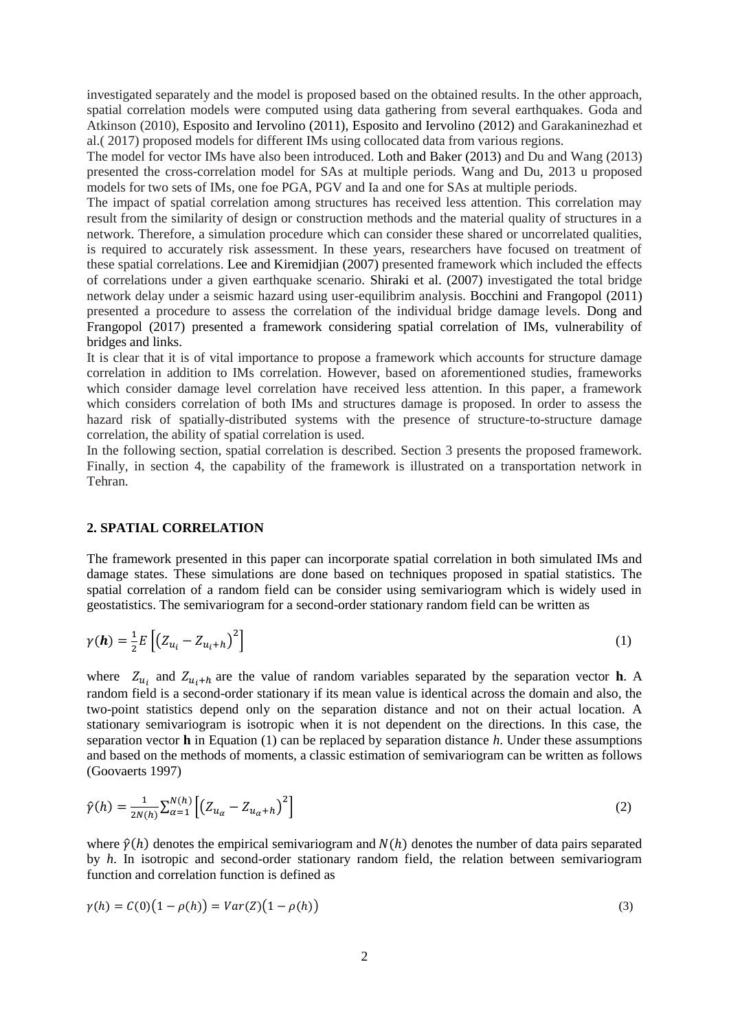investigated separately and the model is proposed based on the obtained results. In the other approach, spatial correlation models were computed using data gathering from several earthquakes. [Goda and](#page-8-2)  [Atkinson \(2010\)](#page-8-2), [Esposito and Iervolino \(2011\)](#page-8-3), [Esposito and Iervolino \(2012\)](#page-8-4) and [Garakaninezhad](#page-8-5) et al.( [2017\)](#page-8-5) proposed models for different IMs using collocated data from various regions.

The model for vector IMs have also been introduced. [Loth and Baker \(2013\)](#page-9-3) and [Du and Wang \(2013\)](#page-8-6) presented the cross-correlation model for SAs at multiple periods. Wang and Du, 2013 u proposed models for two sets of IMs, one foe PGA, PGV and Ia and one for SAs at multiple periods.

The impact of spatial correlation among structures has received less attention. This correlation may result from the similarity of design or construction methods and the material quality of structures in a network. Therefore, a simulation procedure which can consider these shared or uncorrelated qualities, is required to accurately risk assessment. In these years, researchers have focused on treatment of these spatial correlations. [Lee and Kiremidjian \(2007\)](#page-9-4) presented framework which included the effects of correlations under a given earthquake scenario. Shiraki [et al. \(2007\)](#page-9-5) investigated the total bridge network delay under a seismic hazard using user-equilibrim analysis. [Bocchini and Frangopol \(2011\)](#page-8-7) presented a procedure to assess the correlation of the individual bridge damage levels. [Dong and](#page-8-8)  [Frangopol \(2017\)](#page-8-8) presented a framework considering spatial correlation of IMs, vulnerability of bridges and links.

It is clear that it is of vital importance to propose a framework which accounts for structure damage correlation in addition to IMs correlation. However, based on aforementioned studies, frameworks which consider damage level correlation have received less attention. In this paper, a framework which considers correlation of both IMs and structures damage is proposed. In order to assess the hazard risk of spatially-distributed systems with the presence of structure-to-structure damage correlation, the ability of spatial correlation is used.

In the following section, spatial correlation is described. Section 3 presents the proposed framework. Finally, in section 4, the capability of the framework is illustrated on a transportation network in Tehran.

#### **2. SPATIAL CORRELATION**

The framework presented in this paper can incorporate spatial correlation in both simulated IMs and damage states. These simulations are done based on techniques proposed in spatial statistics. The spatial correlation of a random field can be consider using semivariogram which is widely used in geostatistics. The semivariogram for a second-order stationary random field can be written as

$$
\gamma(\boldsymbol{h}) = \frac{1}{2} E\left[ \left( Z_{u_i} - Z_{u_i + h} \right)^2 \right] \tag{1}
$$

where  $Z_{u_i}$  and  $Z_{u_i+h}$  are the value of random variables separated by the separation vector **h**. A random field is a second-order stationary if its mean value is identical across the domain and also, the two-point statistics depend only on the separation distance and not on their actual location. A stationary semivariogram is isotropic when it is not dependent on the directions. In this case, the separation vector **h** in Equation (1) can be replaced by separation distance *h*. Under these assumptions and based on the methods of moments, a classic estimation of semivariogram can be written as follows [\(Goovaerts 1997\)](#page-8-9)

$$
\hat{\gamma}(h) = \frac{1}{2N(h)} \sum_{\alpha=1}^{N(h)} \left[ \left( Z_{u_{\alpha}} - Z_{u_{\alpha}+h} \right)^2 \right] \tag{2}
$$

where  $\hat{v}(h)$  denotes the empirical semivariogram and  $N(h)$  denotes the number of data pairs separated by *h*. In isotropic and second-order stationary random field, the relation between semivariogram function and correlation function is defined as

$$
\gamma(h) = C(0)\left(1 - \rho(h)\right) = Var(Z)\left(1 - \rho(h)\right) \tag{3}
$$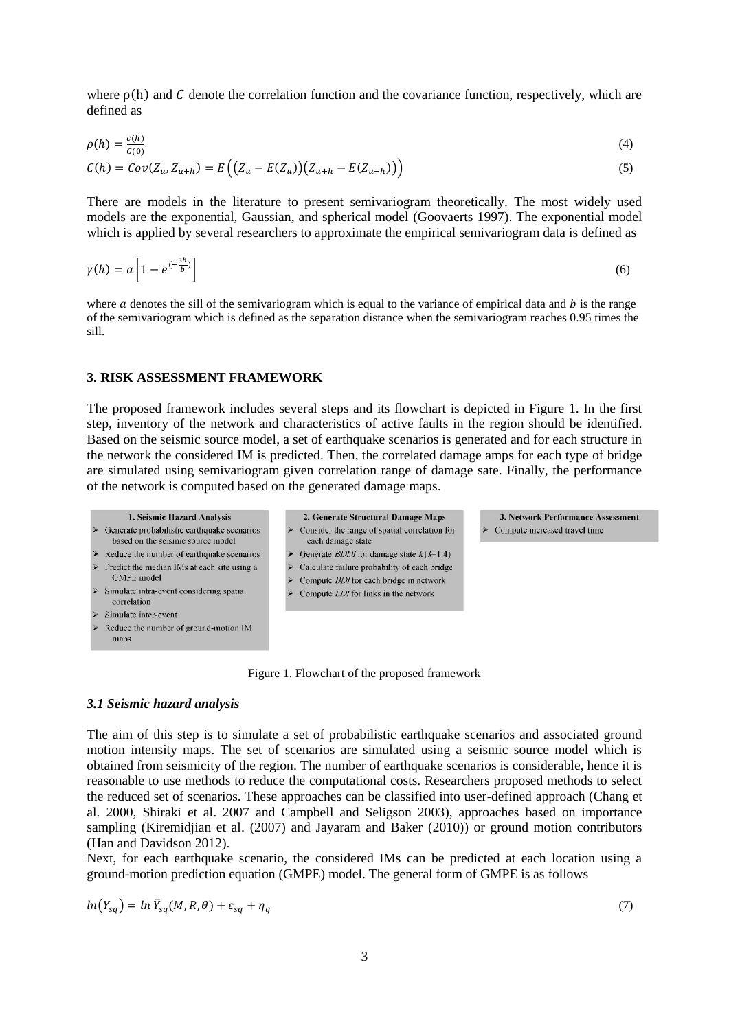where  $\rho(h)$  and C denote the correlation function and the covariance function, respectively, which are defined as

$$
\rho(h) = \frac{c(h)}{c(0)}\tag{4}
$$

$$
C(h) = Cov(Z_u, Z_{u+h}) = E\left( (Z_u - E(Z_u))(Z_{u+h} - E(Z_{u+h})) \right)
$$
\n(5)

There are models in the literature to present semivariogram theoretically. The most widely used models are the exponential, Gaussian, and spherical model [\(Goovaerts 1997\)](#page-8-9). The exponential model which is applied by several researchers to approximate the empirical semivariogram data is defined as

$$
\gamma(h) = a \left[ 1 - e^{\left(-\frac{3h}{b}\right)} \right] \tag{6}
$$

where  $\alpha$  denotes the sill of the semivariogram which is equal to the variance of empirical data and  $\dot{b}$  is the range of the semivariogram which is defined as the separation distance when the semivariogram reaches 0.95 times the sill.

## **3. RISK ASSESSMENT FRAMEWORK**

The proposed framework includes several steps and its flowchart is depicted in Figure 1. In the first step, inventory of the network and characteristics of active faults in the region should be identified. Based on the seismic source model, a set of earthquake scenarios is generated and for each structure in the network the considered IM is predicted. Then, the correlated damage amps for each type of bridge are simulated using semivariogram given correlation range of damage sate. Finally, the performance of the network is computed based on the generated damage maps.



- $\triangleright$  Simulate intra-event considering spatial correlation  $\triangleright$  Simulate inter-event
- 
- Reduce the number of ground-motion IM maps



- $\triangleright$  Calculate failure probability of each bridge
- Compute BDI for each bridge in network
- Compute LDI for links in the network

Figure 1. Flowchart of the proposed framework

## *3.1 Seismic hazard analysis*

The aim of this step is to simulate a set of probabilistic earthquake scenarios and associated ground motion intensity maps. The set of scenarios are simulated using a seismic source model which is obtained from seismicity of the region. The number of earthquake scenarios is considerable, hence it is reasonable to use methods to reduce the computational costs. Researchers proposed methods to select the reduced set of scenarios. These approaches can be classified into user-defined approach [\(Chang](#page-8-10) et [al. 2000,](#page-8-10) [Shiraki](#page-9-5) et al. 2007 and [Campbell and Seligson 2003\)](#page-8-11), approaches based on importance sampling [\(Kiremidjian](#page-9-6) et al. (2007) and [Jayaram and Baker \(2010\)](#page-9-7)) or ground motion contributors [\(Han and Davidson 2012\)](#page-8-12).

Next, for each earthquake scenario, the considered IMs can be predicted at each location using a ground-motion prediction equation (GMPE) model. The general form of GMPE is as follows

$$
ln(Y_{sq}) = ln \bar{Y}_{sq}(M, R, \theta) + \varepsilon_{sq} + \eta_q \tag{7}
$$

3. Network Performance Assessment

Compute increased travel time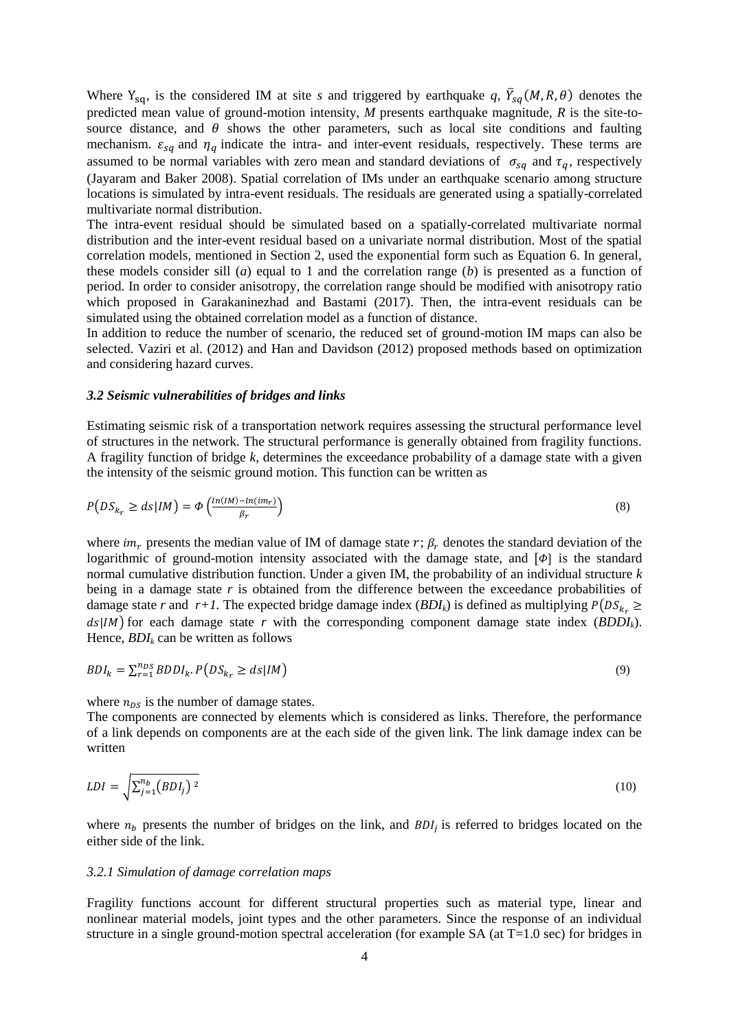Where  $Y_{sq}$ , is the considered IM at site *s* and triggered by earthquake *q*,  $\bar{Y}_{sq}(M, R, \theta)$  denotes the predicted mean value of ground-motion intensity, *M* presents earthquake magnitude, *R* is the site-tosource distance, and  $\theta$  shows the other parameters, such as local site conditions and faulting mechanism.  $\varepsilon_{sq}$  and  $\eta_q$  indicate the intra- and inter-event residuals, respectively. These terms are assumed to be normal variables with zero mean and standard deviations of  $\sigma_{sq}$  and  $\tau_q$ , respectively [\(Jayaram and Baker 2008\)](#page-9-8). Spatial correlation of IMs under an earthquake scenario among structure locations is simulated by intra-event residuals. The residuals are generated using a spatially-correlated multivariate normal distribution.

The intra-event residual should be simulated based on a spatially-correlated multivariate normal distribution and the inter-event residual based on a univariate normal distribution. Most of the spatial correlation models, mentioned in Section 2, used the exponential form such as Equation 6. In general, these models consider sill (*a*) equal to 1 and the correlation range (*b*) is presented as a function of period. In order to consider anisotropy, the correlation range should be modified with anisotropy ratio which proposed in [Garakaninezhad and Bastami \(2017\)](#page-8-13). Then, the intra-event residuals can be simulated using the obtained correlation model as a function of distance.

In addition to reduce the number of scenario, the reduced set of ground-motion IM maps can also be selected. [Vaziri et al. \(2012\)](#page-9-0) and [Han and Davidson \(2012\)](#page-8-12) proposed methods based on optimization and considering hazard curves.

## *3.2 Seismic vulnerabilities of bridges and links*

Estimating seismic risk of a transportation network requires assessing the structural performance level of structures in the network. The structural performance is generally obtained from fragility functions. A fragility function of bridge *k*, determines the exceedance probability of a damage state with a given the intensity of the seismic ground motion. This function can be written as

$$
P\left(DS_{k_r} \ge ds | IM\right) = \Phi\left(\frac{\ln(IM) - \ln(im_r)}{\beta_r}\right) \tag{8}
$$

where  $im_r$  presents the median value of IM of damage state r;  $\beta_r$  denotes the standard deviation of the logarithmic of ground-motion intensity associated with the damage state, and  $[\phi]$  is the standard normal cumulative distribution function. Under a given IM, the probability of an individual structure *k* being in a damage state r is obtained from the difference between the exceedance probabilities of damage state *r* and  $r+1$ . The expected bridge damage index (*BDI<sub>k</sub>*) is defined as multiplying  $P(DS_{k_r} \geq$  ) for each damage state *r* with the corresponding component damage state index (*BDDIk*). Hence, *BDI<sup>k</sup>* can be written as follows

$$
BDI_k = \sum_{r=1}^{n_{DS}} BDDI_k \cdot P\left(DS_{k_r} \ge ds | IM\right) \tag{9}
$$

where  $n_{DS}$  is the number of damage states.

The components are connected by elements which is considered as links. Therefore, the performance of a link depends on components are at the each side of the given link. The link damage index can be written

$$
LDI = \sqrt{\sum_{j=1}^{n_b} (BDI_j)^2}
$$
\n<sup>(10)</sup>

where  $n_b$  presents the number of bridges on the link, and  $BDI_i$  is referred to bridges located on the either side of the link.

#### *3.2.1 Simulation of damage correlation maps*

Fragility functions account for different structural properties such as material type, linear and nonlinear material models, joint types and the other parameters. Since the response of an individual structure in a single ground-motion spectral acceleration (for example SA (at  $T=1.0$  sec) for bridges in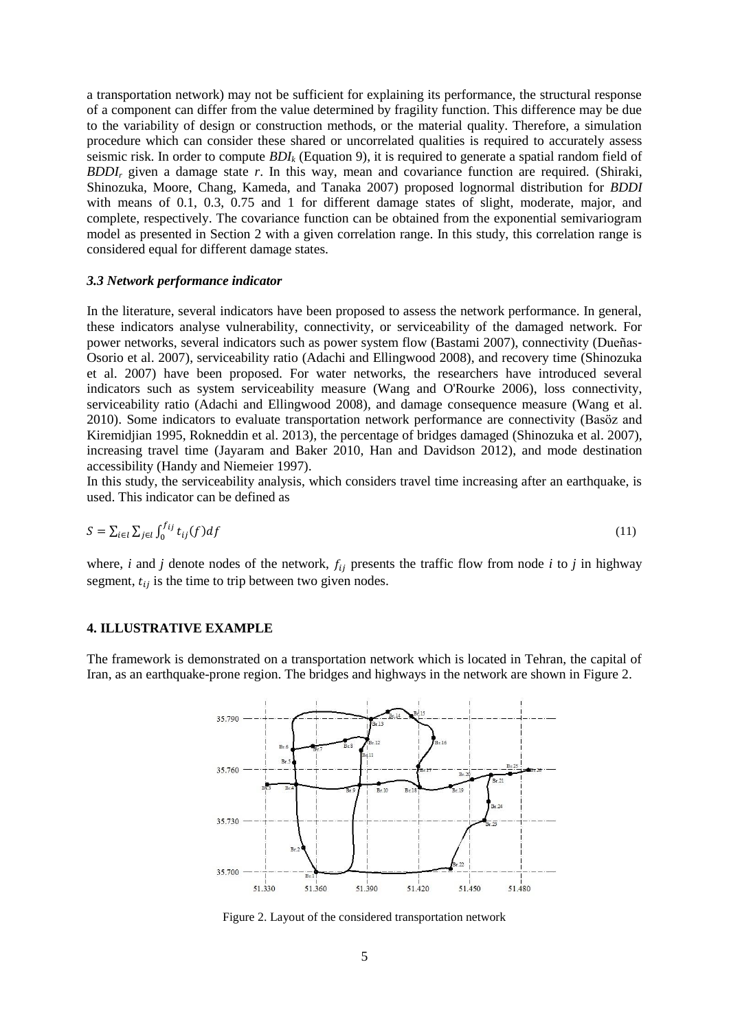a transportation network) may not be sufficient for explaining its performance, the structural response of a component can differ from the value determined by fragility function. This difference may be due to the variability of design or construction methods, or the material quality. Therefore, a simulation procedure which can consider these shared or uncorrelated qualities is required to accurately assess seismic risk. In order to compute *BDI<sup>k</sup>* (Equation 9), it is required to generate a spatial random field of *BDDI<sup>r</sup>* given a damage state *r*. In this way, mean and covariance function are required. (Shiraki, Shinozuka, Moore, Chang, Kameda, and Tanaka 2007) proposed lognormal distribution for *BDDI* with means of 0.1, 0.3, 0.75 and 1 for different damage states of slight, moderate, major, and complete, respectively. The covariance function can be obtained from the exponential semivariogram model as presented in Section 2 with a given correlation range. In this study, this correlation range is considered equal for different damage states.

#### *3.3 Network performance indicator*

In the literature, several indicators have been proposed to assess the network performance. In general, these indicators analyse vulnerability, connectivity, or serviceability of the damaged network. For power networks, several indicators such as power system flow [\(Bastami 2007\)](#page-8-14), connectivity [\(Dueñas](#page-8-15)‐ Osorio [et al. 2007\)](#page-8-15), serviceability ratio [\(Adachi and Ellingwood 2008\)](#page-8-16), and recovery time [\(Shinozuka](#page-9-9) [et al. 2007\)](#page-9-9) have been proposed. For water networks, the researchers have introduced several indicators such as system serviceability measure [\(Wang and O'Rourke 2006\)](#page-9-10), loss connectivity, serviceability ratio [\(Adachi and Ellingwood 2008\)](#page-8-16), and damage consequence measure [\(Wang](#page-9-11) et al. [2010\)](#page-9-11). Some indicators to evaluate transportation network performance are connectivity [\(Basöz and](#page-8-17)  [Kiremidjian 1995,](#page-8-17) [Rokneddin](#page-9-12) et al. 2013), the percentage of bridges damaged [\(Shinozuka et al.](#page-9-9) 2007), increasing travel time [\(Jayaram and Baker 2010,](#page-9-7) [Han and Davidson 2012\)](#page-8-12), and mode destination accessibility [\(Handy and Niemeier 1997\)](#page-8-18).

In this study, the serviceability analysis, which considers travel time increasing after an earthquake, is used. This indicator can be defined as

$$
S = \sum_{i \in l} \sum_{j \in l} \int_0^{f_{ij}} t_{ij}(f) df \tag{11}
$$

where, *i* and *j* denote nodes of the network,  $f_{ij}$  presents the traffic flow from node *i* to *j* in highway segment,  $t_{ij}$  is the time to trip between two given nodes.

#### **4. ILLUSTRATIVE EXAMPLE**

The framework is demonstrated on a transportation network which is located in Tehran, the capital of Iran, as an earthquake-prone region. The bridges and highways in the network are shown in [Figure 2.](#page-4-0)



<span id="page-4-0"></span>Figure 2. Layout of the considered transportation network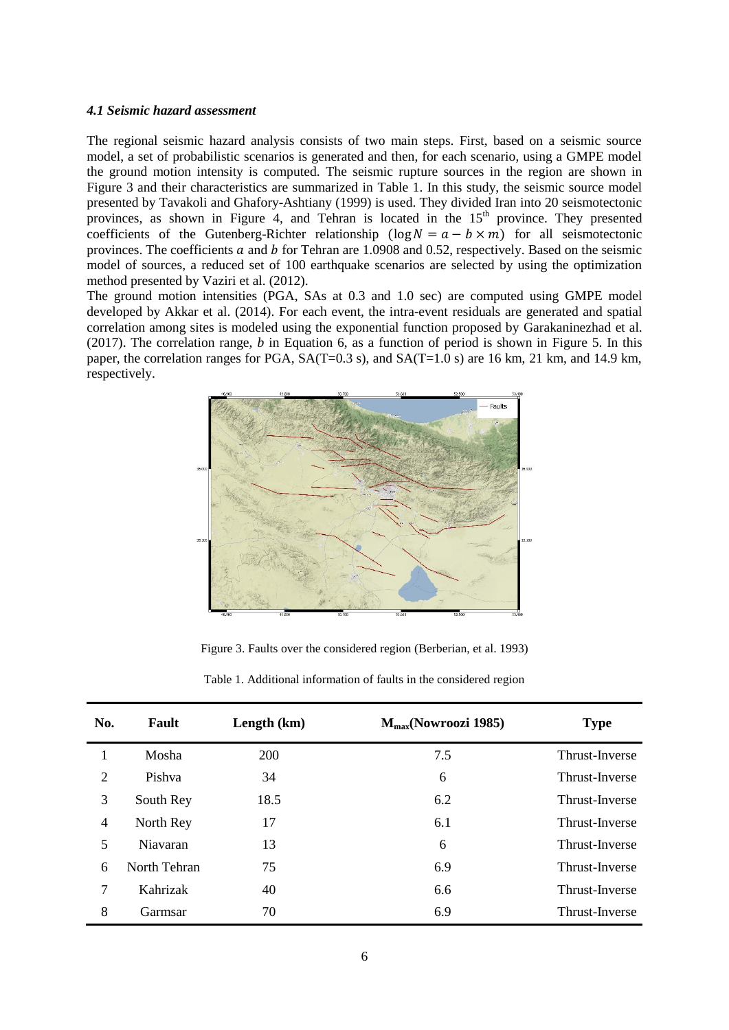#### *4.1 Seismic hazard assessment*

The regional seismic hazard analysis consists of two main steps. First, based on a seismic source model, a set of probabilistic scenarios is generated and then, for each scenario, using a GMPE model the ground motion intensity is computed. The seismic rupture sources in the region are shown in [Figure 3](#page-5-0) and their characteristics are summarized in Table 1. In this study, the seismic source model presented by [Tavakoli and Ghafory-Ashtiany \(1999\)](#page-9-13) is used. They divided Iran into 20 seismotectonic provinces, as shown in [Figure 4,](#page-6-0) and Tehran is located in the  $15<sup>th</sup>$  province. They presented coefficients of the Gutenberg-Richter relationship  $(\log N = a - b \times m)$  for all seismotectonic provinces. The coefficients a and b for Tehran are  $1.0908$  and 0.52, respectively. Based on the seismic model of sources, a reduced set of 100 earthquake scenarios are selected by using the optimization method presented by [Vaziri](#page-9-0) et al. (2012).

The ground motion intensities (PGA, SAs at 0.3 and 1.0 sec) are computed using GMPE model developed by Akkar [et al. \(2014\)](#page-8-19). For each event, the intra-event residuals are generated and spatial correlation among sites is modeled using the exponential function proposed by [Garakaninezhad](#page-8-5) et al. [\(2017\)](#page-8-5). The correlation range, *b* in Equation 6, as a function of period is shown in [Figure 5.](#page-6-1) In this paper, the correlation ranges for PGA,  $SA(T=0.3 \text{ s})$ , and  $SA(T=1.0 \text{ s})$  are 16 km, 21 km, and 14.9 km, respectively.



Figure 3. Faults over the considered region [\(Berberian, et al. 1993\)](#page-8-20)

|  | Table 1. Additional information of faults in the considered region |  |  |  |  |  |
|--|--------------------------------------------------------------------|--|--|--|--|--|
|--|--------------------------------------------------------------------|--|--|--|--|--|

<span id="page-5-0"></span>

| No.            | Fault        | Length $(km)$ | $M_{max}(Nowroozi 1985)$ | <b>Type</b>    |
|----------------|--------------|---------------|--------------------------|----------------|
|                | Mosha        | 200           | 7.5                      | Thrust-Inverse |
| $\overline{2}$ | Pishya       | 34            | 6                        | Thrust-Inverse |
| 3              | South Rey    | 18.5          | 6.2                      | Thrust-Inverse |
| 4              | North Rey    | 17            | 6.1                      | Thrust-Inverse |
| 5              | Niavaran     | 13            | 6                        | Thrust-Inverse |
| 6              | North Tehran | 75            | 6.9                      | Thrust-Inverse |
| 7              | Kahrizak     | 40            | 6.6                      | Thrust-Inverse |
| 8              | Garmsar      | 70            | 6.9                      | Thrust-Inverse |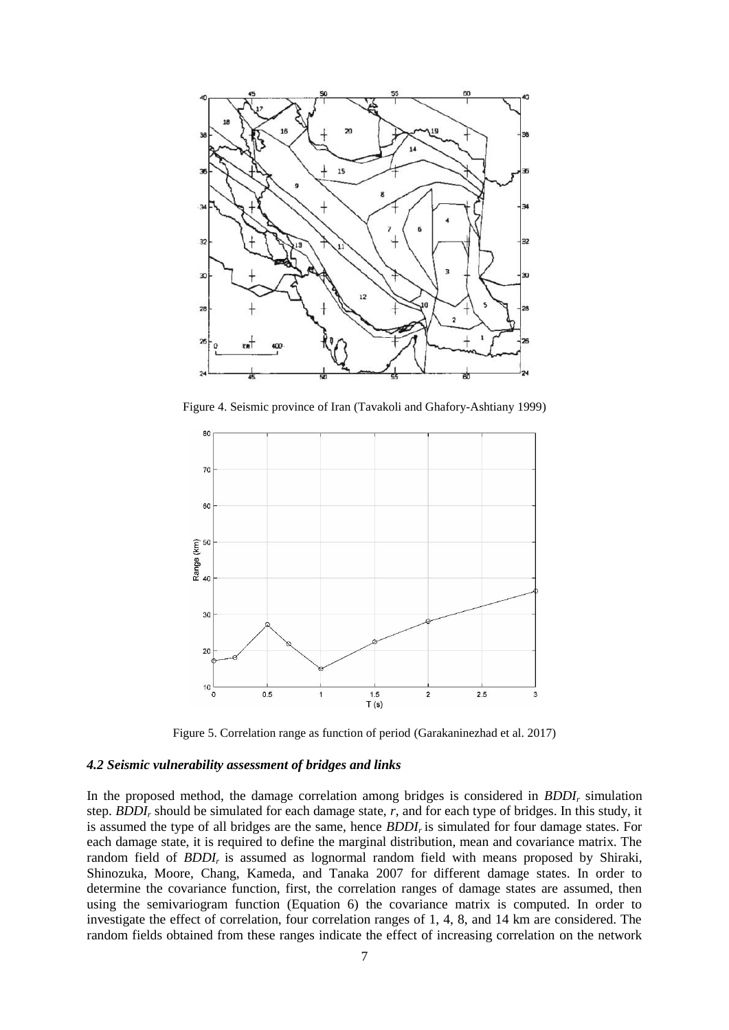

Figure 4. Seismic province of Iran [\(Tavakoli and Ghafory-Ashtiany 1999\)](#page-9-13)

<span id="page-6-0"></span>

Figure 5. Correlation range as function of period [\(Garakaninezhad et al.](#page-8-5) 2017)

## <span id="page-6-1"></span>*4.2 Seismic vulnerability assessment of bridges and links*

In the proposed method, the damage correlation among bridges is considered in *BDDI<sup>r</sup>* simulation step. *BDDI<sup>r</sup>* should be simulated for each damage state, *r*, and for each type of bridges. In this study, it is assumed the type of all bridges are the same, hence *BDDIr* is simulated for four damage states. For each damage state, it is required to define the marginal distribution, mean and covariance matrix. The random field of *BDDIr* is assumed as lognormal random field with means proposed by Shiraki, Shinozuka, Moore, Chang, Kameda, and Tanaka 2007 for different damage states. In order to determine the covariance function, first, the correlation ranges of damage states are assumed, then using the semivariogram function (Equation 6) the covariance matrix is computed. In order to investigate the effect of correlation, four correlation ranges of 1, 4, 8, and 14 km are considered. The random fields obtained from these ranges indicate the effect of increasing correlation on the network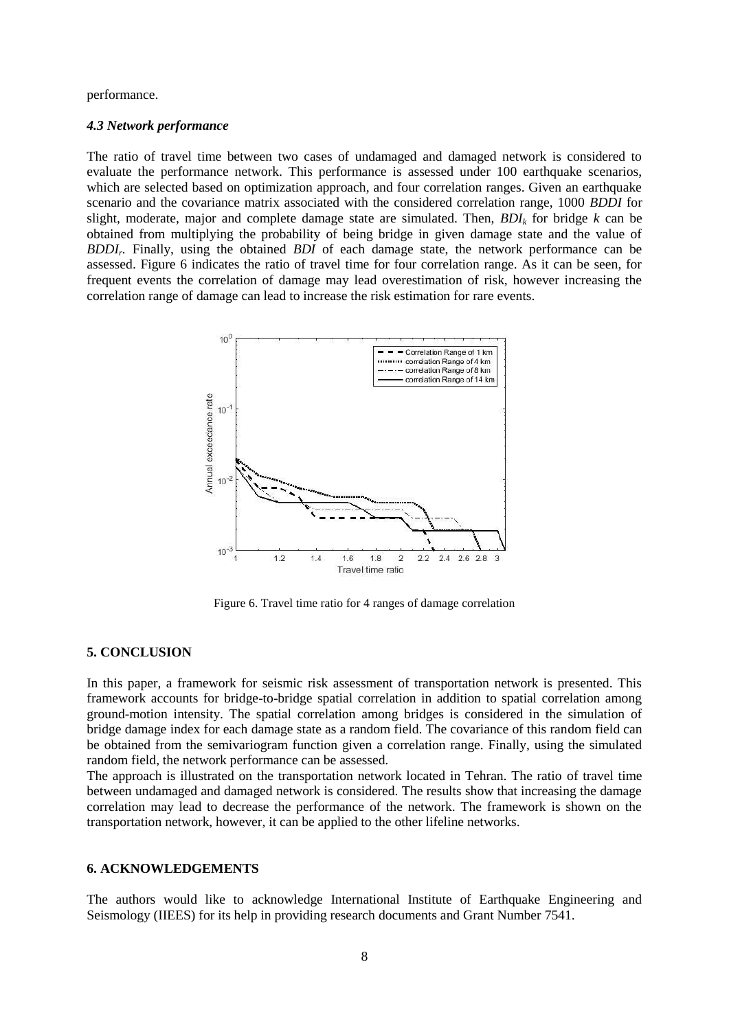performance.

#### *4.3 Network performance*

The ratio of travel time between two cases of undamaged and damaged network is considered to evaluate the performance network. This performance is assessed under 100 earthquake scenarios, which are selected based on optimization approach, and four correlation ranges. Given an earthquake scenario and the covariance matrix associated with the considered correlation range, 1000 *BDDI* for slight, moderate, major and complete damage state are simulated. Then, *BDI<sup>k</sup>* for bridge *k* can be obtained from multiplying the probability of being bridge in given damage state and the value of *BDDI<sup>r</sup> .* Finally, using the obtained *BDI* of each damage state, the network performance can be assessed. [Figure 6](#page-7-0) indicates the ratio of travel time for four correlation range. As it can be seen, for frequent events the correlation of damage may lead overestimation of risk, however increasing the correlation range of damage can lead to increase the risk estimation for rare events.



Figure 6. Travel time ratio for 4 ranges of damage correlation

## <span id="page-7-0"></span>**5. CONCLUSION**

In this paper, a framework for seismic risk assessment of transportation network is presented. This framework accounts for bridge-to-bridge spatial correlation in addition to spatial correlation among ground-motion intensity. The spatial correlation among bridges is considered in the simulation of bridge damage index for each damage state as a random field. The covariance of this random field can be obtained from the semivariogram function given a correlation range. Finally, using the simulated random field, the network performance can be assessed.

The approach is illustrated on the transportation network located in Tehran. The ratio of travel time between undamaged and damaged network is considered. The results show that increasing the damage correlation may lead to decrease the performance of the network. The framework is shown on the transportation network, however, it can be applied to the other lifeline networks.

#### **6. ACKNOWLEDGEMENTS**

The authors would like to acknowledge International Institute of Earthquake Engineering and Seismology (IIEES) for its help in providing research documents and Grant Number 7541.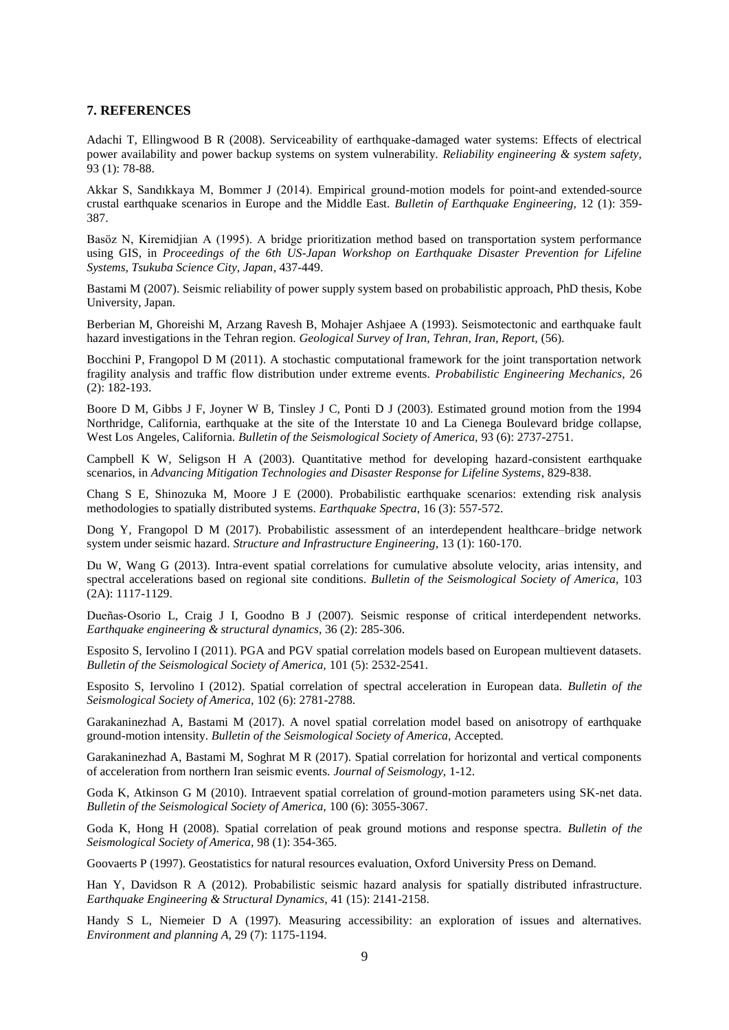#### **7. REFERENCES**

<span id="page-8-16"></span>Adachi T, Ellingwood B R (2008). Serviceability of earthquake-damaged water systems: Effects of electrical power availability and power backup systems on system vulnerability. *Reliability engineering & system safety,*  93 (1): 78-88.

<span id="page-8-19"></span>Akkar S, Sandıkkaya M, Bommer J (2014). Empirical ground-motion models for point-and extended-source crustal earthquake scenarios in Europe and the Middle East. *Bulletin of Earthquake Engineering,* 12 (1): 359- 387.

<span id="page-8-17"></span>Basöz N, Kiremidjian A (1995). A bridge prioritization method based on transportation system performance using GIS, in *Proceedings of the 6th US-Japan Workshop on Earthquake Disaster Prevention for Lifeline Systems, Tsukuba Science City, Japan*, 437-449.

<span id="page-8-14"></span>Bastami M (2007). Seismic reliability of power supply system based on probabilistic approach, PhD thesis, Kobe University, Japan.

<span id="page-8-20"></span>Berberian M, Ghoreishi M, Arzang Ravesh B, Mohajer Ashjaee A (1993). Seismotectonic and earthquake fault hazard investigations in the Tehran region. *Geological Survey of Iran, Tehran, Iran, Report,* (56).

<span id="page-8-7"></span>Bocchini P, Frangopol D M (2011). A stochastic computational framework for the joint transportation network fragility analysis and traffic flow distribution under extreme events. *Probabilistic Engineering Mechanics,* 26 (2): 182-193.

<span id="page-8-0"></span>Boore D M, Gibbs J F, Joyner W B, Tinsley J C, Ponti D J (2003). Estimated ground motion from the 1994 Northridge, California, earthquake at the site of the Interstate 10 and La Cienega Boulevard bridge collapse, West Los Angeles, California. *Bulletin of the Seismological Society of America,* 93 (6): 2737-2751.

<span id="page-8-11"></span>Campbell K W, Seligson H A (2003). Quantitative method for developing hazard-consistent earthquake scenarios, in *Advancing Mitigation Technologies and Disaster Response for Lifeline Systems*, 829-838.

<span id="page-8-10"></span>Chang S E, Shinozuka M, Moore J E (2000). Probabilistic earthquake scenarios: extending risk analysis methodologies to spatially distributed systems. *Earthquake Spectra,* 16 (3): 557-572.

<span id="page-8-8"></span>Dong Y, Frangopol D M (2017). Probabilistic assessment of an interdependent healthcare–bridge network system under seismic hazard. *Structure and Infrastructure Engineering,* 13 (1): 160-170.

<span id="page-8-6"></span>Du W, Wang G (2013). Intra-event spatial correlations for cumulative absolute velocity, arias intensity, and spectral accelerations based on regional site conditions. *Bulletin of the Seismological Society of America,* 103 (2A): 1117-1129.

<span id="page-8-15"></span>Dueñas‐Osorio L, Craig J I, Goodno B J (2007). Seismic response of critical interdependent networks. *Earthquake engineering & structural dynamics,* 36 (2): 285-306.

<span id="page-8-3"></span>Esposito S, Iervolino I (2011). PGA and PGV spatial correlation models based on European multievent datasets. *Bulletin of the Seismological Society of America,* 101 (5): 2532-2541.

<span id="page-8-4"></span>Esposito S, Iervolino I (2012). Spatial correlation of spectral acceleration in European data. *Bulletin of the Seismological Society of America,* 102 (6): 2781-2788.

<span id="page-8-13"></span>Garakaninezhad A, Bastami M (2017). A novel spatial correlation model based on anisotropy of earthquake ground-motion intensity. *Bulletin of the Seismological Society of America,* Accepted.

<span id="page-8-5"></span>Garakaninezhad A, Bastami M, Soghrat M R (2017). Spatial correlation for horizontal and vertical components of acceleration from northern Iran seismic events. *Journal of Seismology,* 1-12.

<span id="page-8-2"></span>Goda K, Atkinson G M (2010). Intraevent spatial correlation of ground-motion parameters using SK-net data. *Bulletin of the Seismological Society of America,* 100 (6): 3055-3067.

<span id="page-8-1"></span>Goda K, Hong H (2008). Spatial correlation of peak ground motions and response spectra. *Bulletin of the Seismological Society of America,* 98 (1): 354-365.

<span id="page-8-9"></span>Goovaerts P (1997). Geostatistics for natural resources evaluation, Oxford University Press on Demand.

<span id="page-8-12"></span>Han Y, Davidson R A (2012). Probabilistic seismic hazard analysis for spatially distributed infrastructure. *Earthquake Engineering & Structural Dynamics,* 41 (15): 2141-2158.

<span id="page-8-18"></span>Handy S L, Niemeier D A (1997). Measuring accessibility: an exploration of issues and alternatives. *Environment and planning A,* 29 (7): 1175-1194.